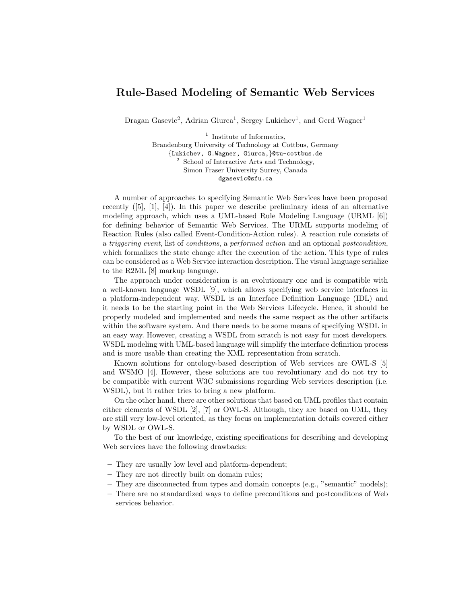## Rule-Based Modeling of Semantic Web Services

Dragan Gasevic<sup>2</sup>, Adrian Giurca<sup>1</sup>, Sergey Lukichev<sup>1</sup>, and Gerd Wagner<sup>1</sup>

<sup>1</sup> Institute of Informatics, Brandenburg University of Technology at Cottbus, Germany {Lukichev, G.Wagner, Giurca,}@tu-cottbus.de <sup>2</sup> School of Interactive Arts and Technology, Simon Fraser University Surrey, Canada dgasevic@sfu.ca

A number of approaches to specifying Semantic Web Services have been proposed recently  $([5], [1], [4])$ . In this paper we describe preliminary ideas of an alternative modeling approach, which uses a UML-based Rule Modeling Language (URML [6]) for defining behavior of Semantic Web Services. The URML supports modeling of Reaction Rules (also called Event-Condition-Action rules). A reaction rule consists of a triggering event, list of conditions, a performed action and an optional postcondition, which formalizes the state change after the execution of the action. This type of rules can be considered as a Web Service interaction description. The visual language serialize to the R2ML [8] markup language.

The approach under consideration is an evolutionary one and is compatible with a well-known language WSDL [9], which allows specifying web service interfaces in a platform-independent way. WSDL is an Interface Definition Language (IDL) and it needs to be the starting point in the Web Services Lifecycle. Hence, it should be properly modeled and implemented and needs the same respect as the other artifacts within the software system. And there needs to be some means of specifying WSDL in an easy way. However, creating a WSDL from scratch is not easy for most developers. WSDL modeling with UML-based language will simplify the interface definition process and is more usable than creating the XML representation from scratch.

Known solutions for ontology-based description of Web services are OWL-S [5] and WSMO [4]. However, these solutions are too revolutionary and do not try to be compatible with current W3C submissions regarding Web services description (i.e. WSDL), but it rather tries to bring a new platform.

On the other hand, there are other solutions that based on UML profiles that contain either elements of WSDL [2], [7] or OWL-S. Although, they are based on UML, they are still very low-level oriented, as they focus on implementation details covered either by WSDL or OWL-S.

To the best of our knowledge, existing specifications for describing and developing Web services have the following drawbacks:

- They are usually low level and platform-dependent;
- They are not directly built on domain rules;
- They are disconnected from types and domain concepts (e.g., "semantic" models);
- There are no standardized ways to define preconditions and postconditons of Web services behavior.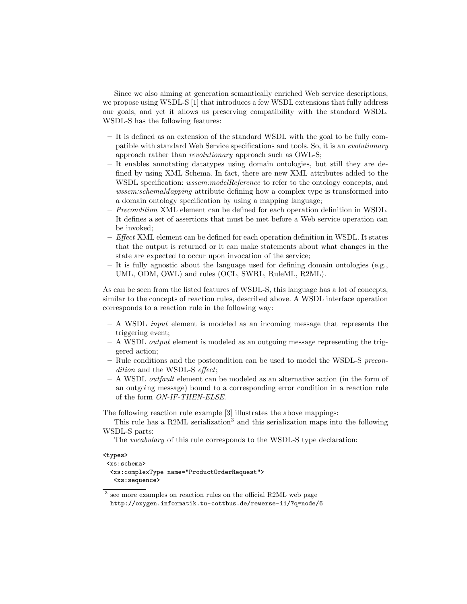Since we also aiming at generation semantically enriched Web service descriptions, we propose using WSDL-S [1] that introduces a few WSDL extensions that fully address our goals, and yet it allows us preserving compatibility with the standard WSDL. WSDL-S has the following features:

- It is defined as an extension of the standard WSDL with the goal to be fully compatible with standard Web Service specifications and tools. So, it is an evolutionary approach rather than revolutionary approach such as OWL-S;
- It enables annotating datatypes using domain ontologies, but still they are defined by using XML Schema. In fact, there are new XML attributes added to the WSDL specification: *wssem:modelReference* to refer to the ontology concepts, and wssem:schemaMapping attribute defining how a complex type is transformed into a domain ontology specification by using a mapping language;
- Precondition XML element can be defined for each operation definition in WSDL. It defines a set of assertions that must be met before a Web service operation can be invoked;
- $-$  *Effect* XML element can be defined for each operation definition in WSDL. It states that the output is returned or it can make statements about what changes in the state are expected to occur upon invocation of the service;
- It is fully agnostic about the language used for defining domain ontologies (e.g., UML, ODM, OWL) and rules (OCL, SWRL, RuleML, R2ML).

As can be seen from the listed features of WSDL-S, this language has a lot of concepts, similar to the concepts of reaction rules, described above. A WSDL interface operation corresponds to a reaction rule in the following way:

- $A$  WSDL *input* element is modeled as an incoming message that represents the triggering event;
- $A$  WSDL *output* element is modeled as an outgoing message representing the triggered action;
- Rule conditions and the postcondition can be used to model the WSDL-S precondition and the WSDL-S effect;
- A WSDL outfault element can be modeled as an alternative action (in the form of an outgoing message) bound to a corresponding error condition in a reaction rule of the form ON-IF-THEN-ELSE.

The following reaction rule example [3] illustrates the above mappings:

This rule has a R2ML serialization<sup>3</sup> and this serialization maps into the following WSDL-S parts:

The vocabulary of this rule corresponds to the WSDL-S type declaration:

<types>

```
<xs:schema>
 <xs:complexType name="ProductOrderRequest">
```
<xs:sequence>

<sup>&</sup>lt;sup>3</sup> see more examples on reaction rules on the official R2ML web page http://oxygen.informatik.tu-cottbus.de/rewerse-i1/?q=node/6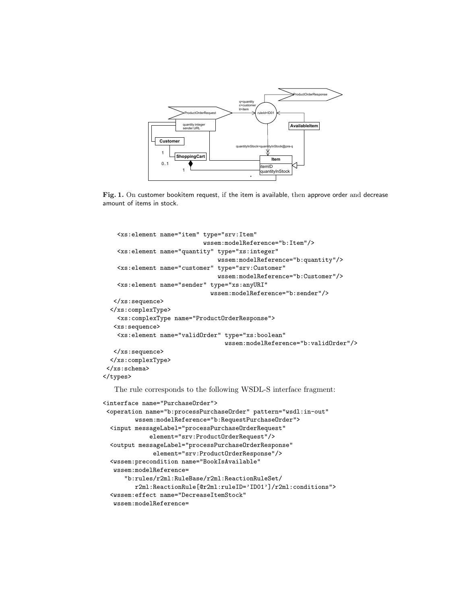

Fig. 1. On customer bookitem request, if the item is available, then approve order and decrease amount of items in stock.

```
<xs:element name="item" type="srv:Item"
                            wssem:modelReference="b:Item"/>
    <xs:element name="quantity" type="xs:integer"
                                wssem:modelReference="b:quantity"/>
    <xs:element name="customer" type="srv:Customer"
                                wssem:modelReference="b:Customer"/>
    <xs:element name="sender" type="xs:anyURI"
                              wssem:modelReference="b:sender"/>
   </xs:sequence>
  </xs:complexType>
    <xs:complexType name="ProductOrderResponse">
   <xs:sequence>
    <xs:element name="validOrder" type="xs:boolean"
                                  wssem:modelReference="b:validOrder"/>
   </xs:sequence>
  </xs:complexType>
</xs:schema>
</types>
   The rule corresponds to the following WSDL-S interface fragment:
<interface name="PurchaseOrder">
```

```
<operation name="b:processPurchaseOrder" pattern="wsdl:in-out"
        wssem:modelReference="b:RequestPurchaseOrder">
 <input messageLabel="processPurchaseOrderRequest"
            element="srv:ProductOrderRequest"/>
 <output messageLabel="processPurchaseOrderResponse"
             element="srv:ProductOrderResponse"/>
 <wssem:precondition name="BookIsAvailable"
 wssem:modelReference=
     "b:rules/r2ml:RuleBase/r2ml:ReactionRuleSet/
        r2ml:ReactionRule[@r2ml:ruleID='ID01']/r2ml:conditions">
 <wssem:effect name="DecreaseItemStock"
  wssem:modelReference=
```